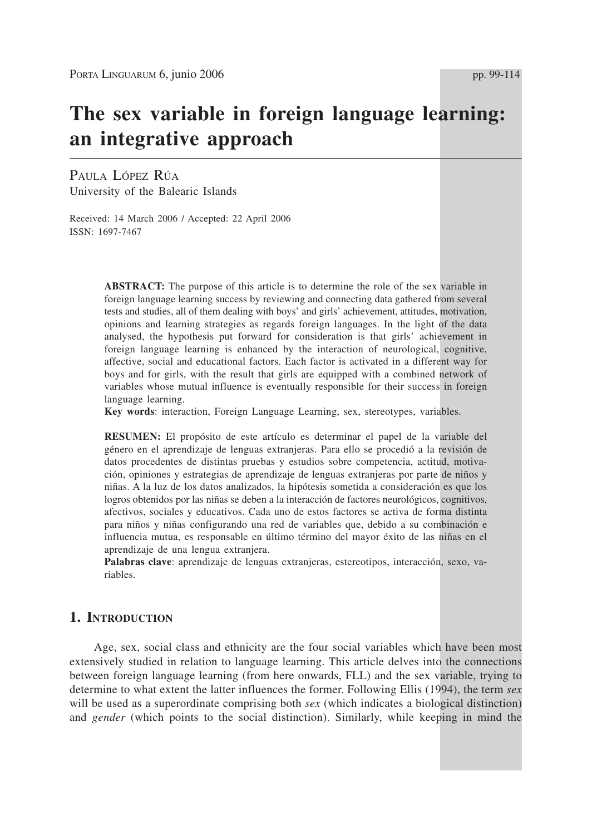# **The sex variable in foreign language learning: an integrative approach**

PAULA LÓPEZ RÚA University of the Balearic Islands

Received: 14 March 2006 / Accepted: 22 April 2006 ISSN: 1697-7467

> **ABSTRACT:** The purpose of this article is to determine the role of the sex variable in foreign language learning success by reviewing and connecting data gathered from several tests and studies, all of them dealing with boys' and girls' achievement, attitudes, motivation, opinions and learning strategies as regards foreign languages. In the light of the data analysed, the hypothesis put forward for consideration is that girls' achievement in foreign language learning is enhanced by the interaction of neurological, cognitive, affective, social and educational factors. Each factor is activated in a different way for boys and for girls, with the result that girls are equipped with a combined network of variables whose mutual influence is eventually responsible for their success in foreign language learning.

**Key words**: interaction, Foreign Language Learning, sex, stereotypes, variables.

**RESUMEN:** El propósito de este artículo es determinar el papel de la variable del género en el aprendizaje de lenguas extranjeras. Para ello se procedió a la revisión de datos procedentes de distintas pruebas y estudios sobre competencia, actitud, motivación, opiniones y estrategias de aprendizaje de lenguas extranjeras por parte de niños y niñas. A la luz de los datos analizados, la hipótesis sometida a consideración es que los logros obtenidos por las niñas se deben a la interacción de factores neurológicos, cognitivos, afectivos, sociales y educativos. Cada uno de estos factores se activa de forma distinta para niños y niñas configurando una red de variables que, debido a su combinación e influencia mutua, es responsable en último término del mayor éxito de las niñas en el aprendizaje de una lengua extranjera.

**Palabras clave**: aprendizaje de lenguas extranjeras, estereotipos, interacción, sexo, variables.

# **1. INTRODUCTION**

Age, sex, social class and ethnicity are the four social variables which have been most extensively studied in relation to language learning. This article delves into the connections between foreign language learning (from here onwards, FLL) and the sex variable, trying to determine to what extent the latter influences the former. Following Ellis (1994), the term *sex* will be used as a superordinate comprising both *sex* (which indicates a biological distinction) and *gender* (which points to the social distinction). Similarly, while keeping in mind the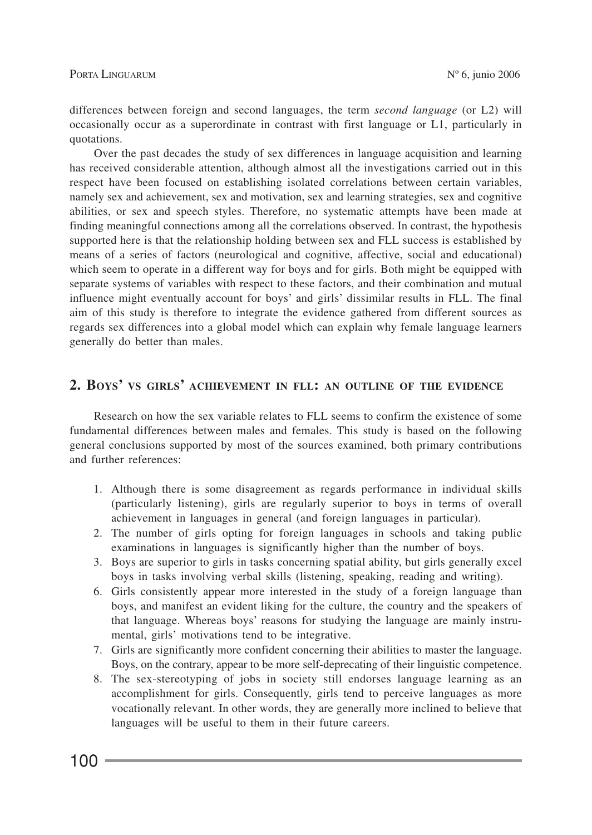differences between foreign and second languages, the term *second language* (or L2) will occasionally occur as a superordinate in contrast with first language or L1, particularly in quotations.

Over the past decades the study of sex differences in language acquisition and learning has received considerable attention, although almost all the investigations carried out in this respect have been focused on establishing isolated correlations between certain variables, namely sex and achievement, sex and motivation, sex and learning strategies, sex and cognitive abilities, or sex and speech styles. Therefore, no systematic attempts have been made at finding meaningful connections among all the correlations observed. In contrast, the hypothesis supported here is that the relationship holding between sex and FLL success is established by means of a series of factors (neurological and cognitive, affective, social and educational) which seem to operate in a different way for boys and for girls. Both might be equipped with separate systems of variables with respect to these factors, and their combination and mutual influence might eventually account for boys' and girls' dissimilar results in FLL. The final aim of this study is therefore to integrate the evidence gathered from different sources as regards sex differences into a global model which can explain why female language learners generally do better than males.

# **2. BOYS' VS GIRLS' ACHIEVEMENT IN FLL: AN OUTLINE OF THE EVIDENCE**

Research on how the sex variable relates to FLL seems to confirm the existence of some fundamental differences between males and females. This study is based on the following general conclusions supported by most of the sources examined, both primary contributions and further references:

- 1. Although there is some disagreement as regards performance in individual skills (particularly listening), girls are regularly superior to boys in terms of overall achievement in languages in general (and foreign languages in particular).
- 2. The number of girls opting for foreign languages in schools and taking public examinations in languages is significantly higher than the number of boys.
- 3. Boys are superior to girls in tasks concerning spatial ability, but girls generally excel boys in tasks involving verbal skills (listening, speaking, reading and writing).
- 6. Girls consistently appear more interested in the study of a foreign language than boys, and manifest an evident liking for the culture, the country and the speakers of that language. Whereas boys' reasons for studying the language are mainly instrumental, girls' motivations tend to be integrative.
- 7. Girls are significantly more confident concerning their abilities to master the language. Boys, on the contrary, appear to be more self-deprecating of their linguistic competence.
- 8. The sex-stereotyping of jobs in society still endorses language learning as an accomplishment for girls. Consequently, girls tend to perceive languages as more vocationally relevant. In other words, they are generally more inclined to believe that languages will be useful to them in their future careers.

 $100 -$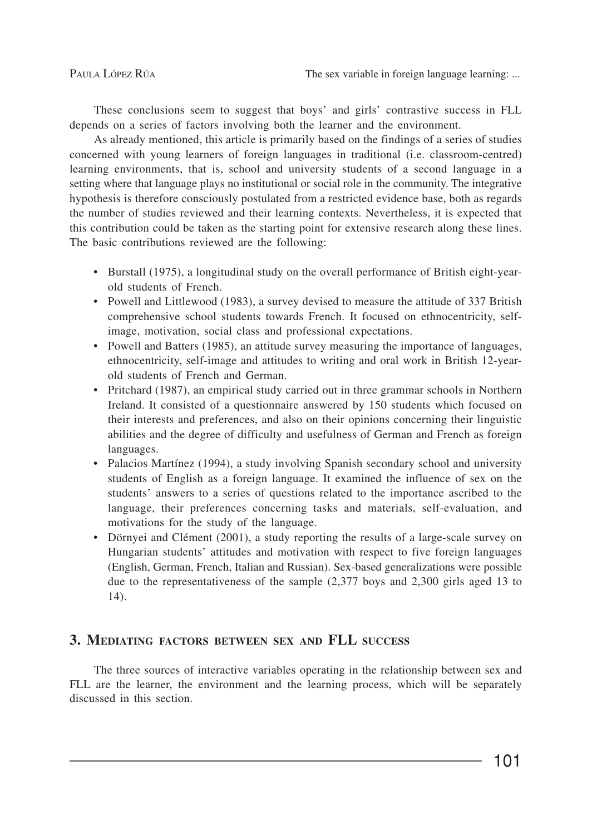These conclusions seem to suggest that boys' and girls' contrastive success in FLL depends on a series of factors involving both the learner and the environment.

As already mentioned, this article is primarily based on the findings of a series of studies concerned with young learners of foreign languages in traditional (i.e. classroom-centred) learning environments, that is, school and university students of a second language in a setting where that language plays no institutional or social role in the community. The integrative hypothesis is therefore consciously postulated from a restricted evidence base, both as regards the number of studies reviewed and their learning contexts. Nevertheless, it is expected that this contribution could be taken as the starting point for extensive research along these lines. The basic contributions reviewed are the following:

- Burstall (1975), a longitudinal study on the overall performance of British eight-yearold students of French.
- Powell and Littlewood (1983), a survey devised to measure the attitude of 337 British comprehensive school students towards French. It focused on ethnocentricity, selfimage, motivation, social class and professional expectations.
- Powell and Batters (1985), an attitude survey measuring the importance of languages, ethnocentricity, self-image and attitudes to writing and oral work in British 12-yearold students of French and German.
- Pritchard (1987), an empirical study carried out in three grammar schools in Northern Ireland. It consisted of a questionnaire answered by 150 students which focused on their interests and preferences, and also on their opinions concerning their linguistic abilities and the degree of difficulty and usefulness of German and French as foreign languages.
- Palacios Martínez (1994), a study involving Spanish secondary school and university students of English as a foreign language. It examined the influence of sex on the students' answers to a series of questions related to the importance ascribed to the language, their preferences concerning tasks and materials, self-evaluation, and motivations for the study of the language.
- Dörnyei and Clément (2001), a study reporting the results of a large-scale survey on Hungarian students' attitudes and motivation with respect to five foreign languages (English, German, French, Italian and Russian). Sex-based generalizations were possible due to the representativeness of the sample (2,377 boys and 2,300 girls aged 13 to 14).

## **3. MEDIATING FACTORS BETWEEN SEX AND FLL SUCCESS**

The three sources of interactive variables operating in the relationship between sex and FLL are the learner, the environment and the learning process, which will be separately discussed in this section.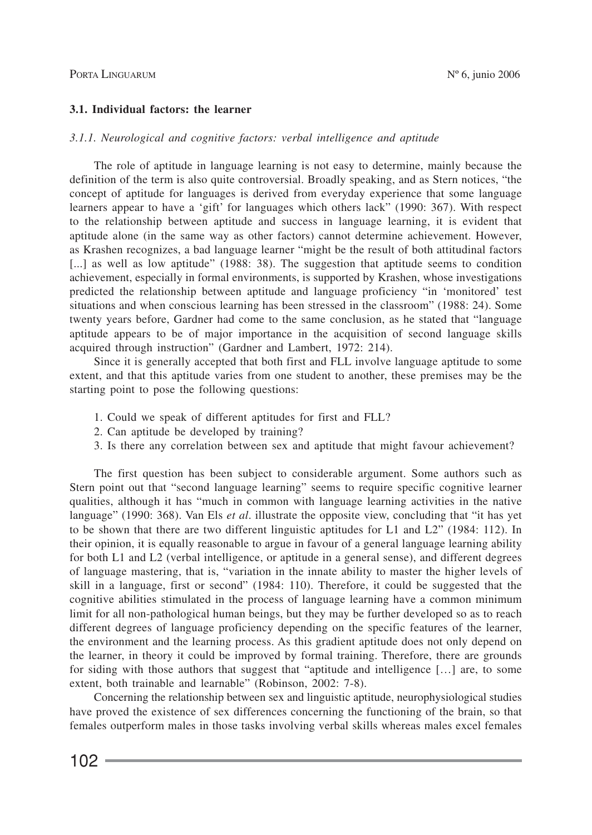#### **3.1. Individual factors: the learner**

#### *3.1.1. Neurological and cognitive factors: verbal intelligence and aptitude*

The role of aptitude in language learning is not easy to determine, mainly because the definition of the term is also quite controversial. Broadly speaking, and as Stern notices, "the concept of aptitude for languages is derived from everyday experience that some language learners appear to have a 'gift' for languages which others lack" (1990: 367). With respect to the relationship between aptitude and success in language learning, it is evident that aptitude alone (in the same way as other factors) cannot determine achievement. However, as Krashen recognizes, a bad language learner "might be the result of both attitudinal factors [...] as well as low aptitude" (1988: 38). The suggestion that aptitude seems to condition achievement, especially in formal environments, is supported by Krashen, whose investigations predicted the relationship between aptitude and language proficiency "in 'monitored' test situations and when conscious learning has been stressed in the classroom" (1988: 24). Some twenty years before, Gardner had come to the same conclusion, as he stated that "language aptitude appears to be of major importance in the acquisition of second language skills acquired through instruction" (Gardner and Lambert, 1972: 214).

Since it is generally accepted that both first and FLL involve language aptitude to some extent, and that this aptitude varies from one student to another, these premises may be the starting point to pose the following questions:

- 1. Could we speak of different aptitudes for first and FLL?
- 2. Can aptitude be developed by training?
- 3. Is there any correlation between sex and aptitude that might favour achievement?

The first question has been subject to considerable argument. Some authors such as Stern point out that "second language learning" seems to require specific cognitive learner qualities, although it has "much in common with language learning activities in the native language" (1990: 368). Van Els *et al*. illustrate the opposite view, concluding that "it has yet to be shown that there are two different linguistic aptitudes for L1 and L2" (1984: 112). In their opinion, it is equally reasonable to argue in favour of a general language learning ability for both L1 and L2 (verbal intelligence, or aptitude in a general sense), and different degrees of language mastering, that is, "variation in the innate ability to master the higher levels of skill in a language, first or second" (1984: 110). Therefore, it could be suggested that the cognitive abilities stimulated in the process of language learning have a common minimum limit for all non-pathological human beings, but they may be further developed so as to reach different degrees of language proficiency depending on the specific features of the learner, the environment and the learning process. As this gradient aptitude does not only depend on the learner, in theory it could be improved by formal training. Therefore, there are grounds for siding with those authors that suggest that "aptitude and intelligence […] are, to some extent, both trainable and learnable" (Robinson, 2002: 7-8).

Concerning the relationship between sex and linguistic aptitude, neurophysiological studies have proved the existence of sex differences concerning the functioning of the brain, so that females outperform males in those tasks involving verbal skills whereas males excel females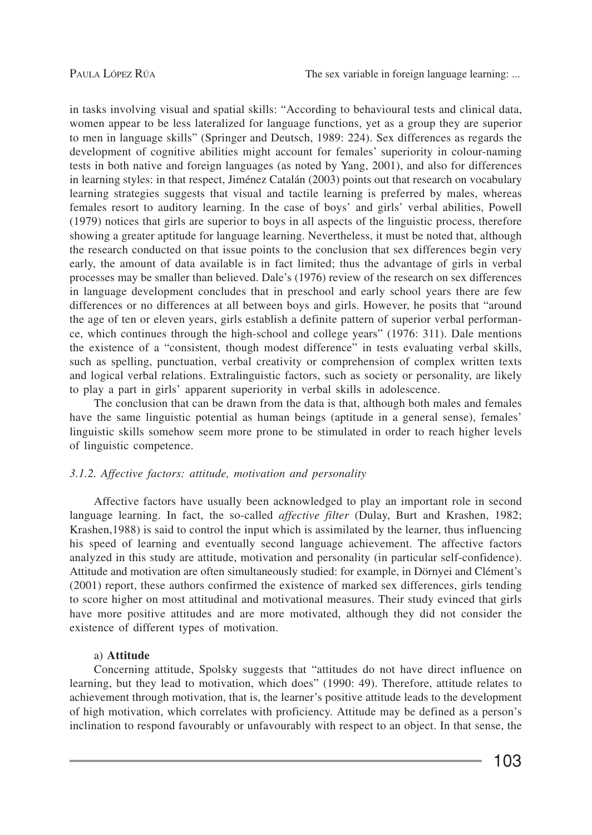in tasks involving visual and spatial skills: "According to behavioural tests and clinical data, women appear to be less lateralized for language functions, yet as a group they are superior to men in language skills" (Springer and Deutsch, 1989: 224). Sex differences as regards the development of cognitive abilities might account for females' superiority in colour-naming tests in both native and foreign languages (as noted by Yang, 2001), and also for differences in learning styles: in that respect, Jiménez Catalán (2003) points out that research on vocabulary learning strategies suggests that visual and tactile learning is preferred by males, whereas females resort to auditory learning. In the case of boys' and girls' verbal abilities, Powell (1979) notices that girls are superior to boys in all aspects of the linguistic process, therefore showing a greater aptitude for language learning. Nevertheless, it must be noted that, although the research conducted on that issue points to the conclusion that sex differences begin very early, the amount of data available is in fact limited; thus the advantage of girls in verbal processes may be smaller than believed. Dale's (1976) review of the research on sex differences in language development concludes that in preschool and early school years there are few differences or no differences at all between boys and girls. However, he posits that "around the age of ten or eleven years, girls establish a definite pattern of superior verbal performance, which continues through the high-school and college years" (1976: 311). Dale mentions the existence of a "consistent, though modest difference" in tests evaluating verbal skills, such as spelling, punctuation, verbal creativity or comprehension of complex written texts and logical verbal relations. Extralinguistic factors, such as society or personality, are likely to play a part in girls' apparent superiority in verbal skills in adolescence.

The conclusion that can be drawn from the data is that, although both males and females have the same linguistic potential as human beings (aptitude in a general sense), females' linguistic skills somehow seem more prone to be stimulated in order to reach higher levels of linguistic competence.

#### *3.1.2. Affective factors: attitude, motivation and personality*

Affective factors have usually been acknowledged to play an important role in second language learning. In fact, the so-called *affective filter* (Dulay, Burt and Krashen, 1982; Krashen,1988) is said to control the input which is assimilated by the learner, thus influencing his speed of learning and eventually second language achievement. The affective factors analyzed in this study are attitude, motivation and personality (in particular self-confidence). Attitude and motivation are often simultaneously studied: for example, in Dörnyei and Clément's (2001) report, these authors confirmed the existence of marked sex differences, girls tending to score higher on most attitudinal and motivational measures. Their study evinced that girls have more positive attitudes and are more motivated, although they did not consider the existence of different types of motivation.

#### a) **Attitude**

Concerning attitude, Spolsky suggests that "attitudes do not have direct influence on learning, but they lead to motivation, which does" (1990: 49). Therefore, attitude relates to achievement through motivation, that is, the learner's positive attitude leads to the development of high motivation, which correlates with proficiency. Attitude may be defined as a person's inclination to respond favourably or unfavourably with respect to an object. In that sense, the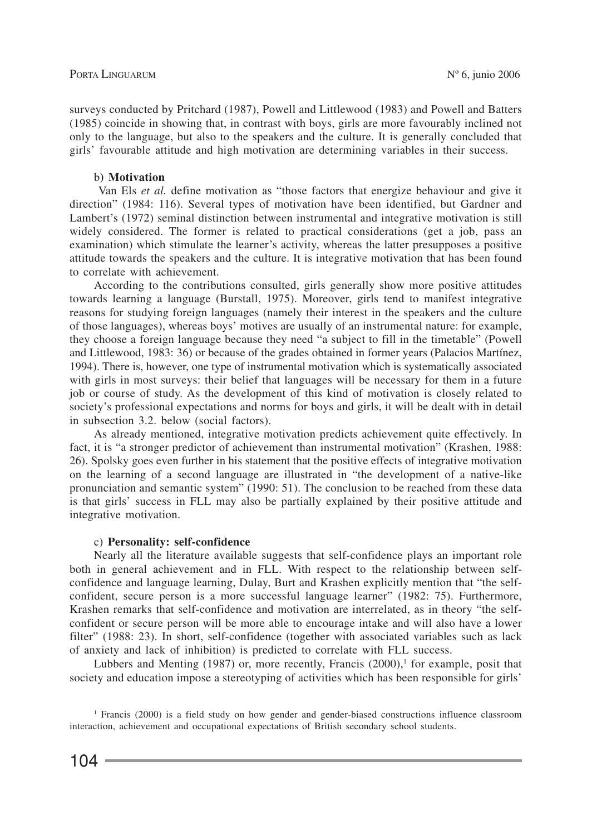surveys conducted by Pritchard (1987), Powell and Littlewood (1983) and Powell and Batters (1985) coincide in showing that, in contrast with boys, girls are more favourably inclined not only to the language, but also to the speakers and the culture. It is generally concluded that girls' favourable attitude and high motivation are determining variables in their success.

#### b**) Motivation**

Van Els *et al.* define motivation as "those factors that energize behaviour and give it direction" (1984: 116). Several types of motivation have been identified, but Gardner and Lambert's (1972) seminal distinction between instrumental and integrative motivation is still widely considered. The former is related to practical considerations (get a job, pass an examination) which stimulate the learner's activity, whereas the latter presupposes a positive attitude towards the speakers and the culture. It is integrative motivation that has been found to correlate with achievement.

According to the contributions consulted, girls generally show more positive attitudes towards learning a language (Burstall, 1975). Moreover, girls tend to manifest integrative reasons for studying foreign languages (namely their interest in the speakers and the culture of those languages), whereas boys' motives are usually of an instrumental nature: for example, they choose a foreign language because they need "a subject to fill in the timetable" (Powell and Littlewood, 1983: 36) or because of the grades obtained in former years (Palacios Martínez, 1994). There is, however, one type of instrumental motivation which is systematically associated with girls in most surveys: their belief that languages will be necessary for them in a future job or course of study. As the development of this kind of motivation is closely related to society's professional expectations and norms for boys and girls, it will be dealt with in detail in subsection 3.2. below (social factors).

As already mentioned, integrative motivation predicts achievement quite effectively. In fact, it is "a stronger predictor of achievement than instrumental motivation" (Krashen, 1988: 26). Spolsky goes even further in his statement that the positive effects of integrative motivation on the learning of a second language are illustrated in "the development of a native-like pronunciation and semantic system" (1990: 51). The conclusion to be reached from these data is that girls' success in FLL may also be partially explained by their positive attitude and integrative motivation.

#### c) **Personality: self-confidence**

Nearly all the literature available suggests that self-confidence plays an important role both in general achievement and in FLL. With respect to the relationship between selfconfidence and language learning, Dulay, Burt and Krashen explicitly mention that "the selfconfident, secure person is a more successful language learner" (1982: 75). Furthermore, Krashen remarks that self-confidence and motivation are interrelated, as in theory "the selfconfident or secure person will be more able to encourage intake and will also have a lower filter" (1988: 23). In short, self-confidence (together with associated variables such as lack of anxiety and lack of inhibition) is predicted to correlate with FLL success.

Lubbers and Menting  $(1987)$  or, more recently, Francis  $(2000)$ , for example, posit that society and education impose a stereotyping of activities which has been responsible for girls'

<sup>1</sup> Francis (2000) is a field study on how gender and gender-biased constructions influence classroom interaction, achievement and occupational expectations of British secondary school students.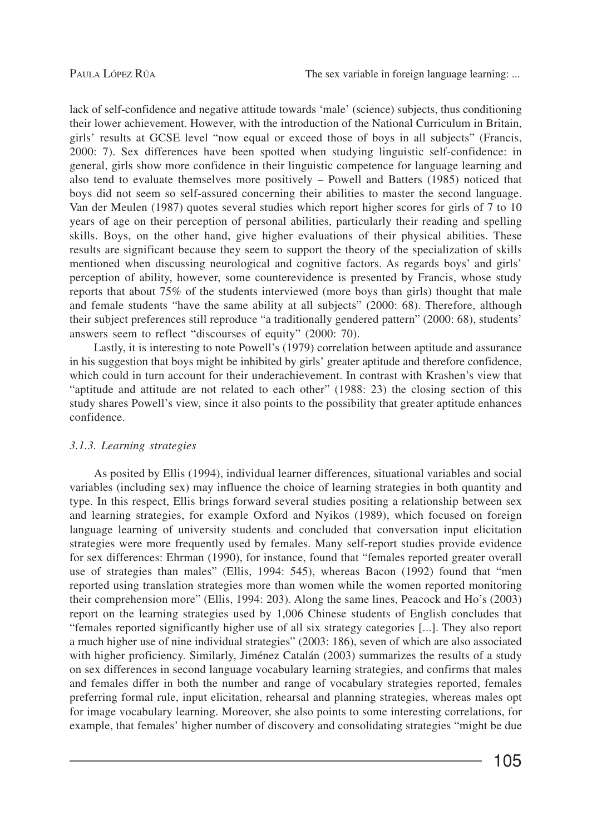lack of self-confidence and negative attitude towards 'male' (science) subjects, thus conditioning their lower achievement. However, with the introduction of the National Curriculum in Britain, girls' results at GCSE level "now equal or exceed those of boys in all subjects" (Francis, 2000: 7). Sex differences have been spotted when studying linguistic self-confidence: in general, girls show more confidence in their linguistic competence for language learning and also tend to evaluate themselves more positively – Powell and Batters (1985) noticed that boys did not seem so self-assured concerning their abilities to master the second language. Van der Meulen (1987) quotes several studies which report higher scores for girls of 7 to 10 years of age on their perception of personal abilities, particularly their reading and spelling skills. Boys, on the other hand, give higher evaluations of their physical abilities. These results are significant because they seem to support the theory of the specialization of skills mentioned when discussing neurological and cognitive factors. As regards boys' and girls' perception of ability, however, some counterevidence is presented by Francis, whose study reports that about 75% of the students interviewed (more boys than girls) thought that male and female students "have the same ability at all subjects" (2000: 68). Therefore, although their subject preferences still reproduce "a traditionally gendered pattern" (2000: 68), students' answers seem to reflect "discourses of equity" (2000: 70).

Lastly, it is interesting to note Powell's (1979) correlation between aptitude and assurance in his suggestion that boys might be inhibited by girls' greater aptitude and therefore confidence, which could in turn account for their underachievement. In contrast with Krashen's view that "aptitude and attitude are not related to each other" (1988: 23) the closing section of this study shares Powell's view, since it also points to the possibility that greater aptitude enhances confidence.

#### *3.1.3. Learning strategies*

As posited by Ellis (1994), individual learner differences, situational variables and social variables (including sex) may influence the choice of learning strategies in both quantity and type. In this respect, Ellis brings forward several studies positing a relationship between sex and learning strategies, for example Oxford and Nyikos (1989), which focused on foreign language learning of university students and concluded that conversation input elicitation strategies were more frequently used by females. Many self-report studies provide evidence for sex differences: Ehrman (1990), for instance, found that "females reported greater overall use of strategies than males" (Ellis, 1994: 545), whereas Bacon (1992) found that "men reported using translation strategies more than women while the women reported monitoring their comprehension more" (Ellis, 1994: 203). Along the same lines, Peacock and Ho's (2003) report on the learning strategies used by 1,006 Chinese students of English concludes that "females reported significantly higher use of all six strategy categories [...]. They also report a much higher use of nine individual strategies" (2003: 186), seven of which are also associated with higher proficiency. Similarly, Jiménez Catalán (2003) summarizes the results of a study on sex differences in second language vocabulary learning strategies, and confirms that males and females differ in both the number and range of vocabulary strategies reported, females preferring formal rule, input elicitation, rehearsal and planning strategies, whereas males opt for image vocabulary learning. Moreover, she also points to some interesting correlations, for example, that females' higher number of discovery and consolidating strategies "might be due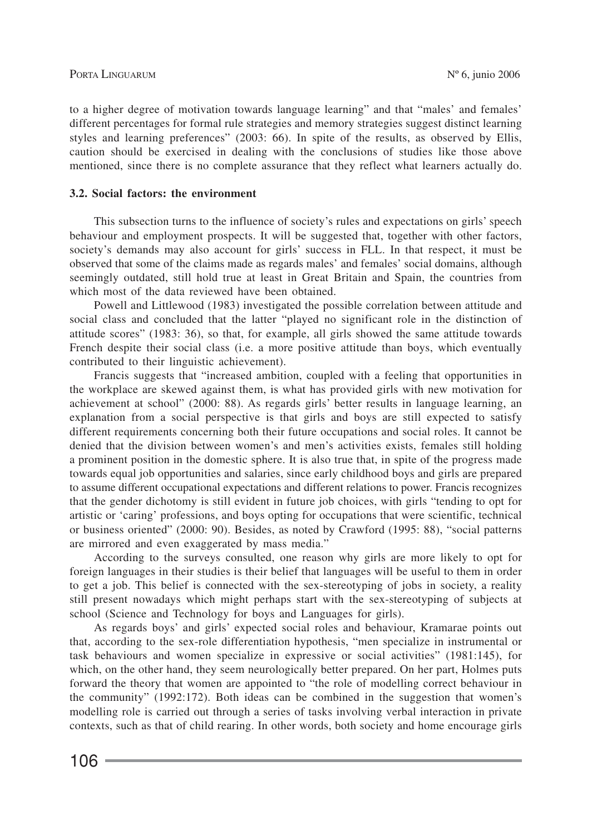to a higher degree of motivation towards language learning" and that "males' and females' different percentages for formal rule strategies and memory strategies suggest distinct learning styles and learning preferences" (2003: 66). In spite of the results, as observed by Ellis, caution should be exercised in dealing with the conclusions of studies like those above mentioned, since there is no complete assurance that they reflect what learners actually do.

#### **3.2. Social factors: the environment**

This subsection turns to the influence of society's rules and expectations on girls' speech behaviour and employment prospects. It will be suggested that, together with other factors, society's demands may also account for girls' success in FLL. In that respect, it must be observed that some of the claims made as regards males' and females' social domains, although seemingly outdated, still hold true at least in Great Britain and Spain, the countries from which most of the data reviewed have been obtained.

Powell and Littlewood (1983) investigated the possible correlation between attitude and social class and concluded that the latter "played no significant role in the distinction of attitude scores" (1983: 36), so that, for example, all girls showed the same attitude towards French despite their social class (i.e. a more positive attitude than boys, which eventually contributed to their linguistic achievement).

Francis suggests that "increased ambition, coupled with a feeling that opportunities in the workplace are skewed against them, is what has provided girls with new motivation for achievement at school" (2000: 88). As regards girls' better results in language learning, an explanation from a social perspective is that girls and boys are still expected to satisfy different requirements concerning both their future occupations and social roles. It cannot be denied that the division between women's and men's activities exists, females still holding a prominent position in the domestic sphere. It is also true that, in spite of the progress made towards equal job opportunities and salaries, since early childhood boys and girls are prepared to assume different occupational expectations and different relations to power. Francis recognizes that the gender dichotomy is still evident in future job choices, with girls "tending to opt for artistic or 'caring' professions, and boys opting for occupations that were scientific, technical or business oriented" (2000: 90). Besides, as noted by Crawford (1995: 88), "social patterns are mirrored and even exaggerated by mass media."

According to the surveys consulted, one reason why girls are more likely to opt for foreign languages in their studies is their belief that languages will be useful to them in order to get a job. This belief is connected with the sex-stereotyping of jobs in society, a reality still present nowadays which might perhaps start with the sex-stereotyping of subjects at school (Science and Technology for boys and Languages for girls).

As regards boys' and girls' expected social roles and behaviour, Kramarae points out that, according to the sex-role differentiation hypothesis, "men specialize in instrumental or task behaviours and women specialize in expressive or social activities" (1981:145), for which, on the other hand, they seem neurologically better prepared. On her part, Holmes puts forward the theory that women are appointed to "the role of modelling correct behaviour in the community" (1992:172). Both ideas can be combined in the suggestion that women's modelling role is carried out through a series of tasks involving verbal interaction in private contexts, such as that of child rearing. In other words, both society and home encourage girls

106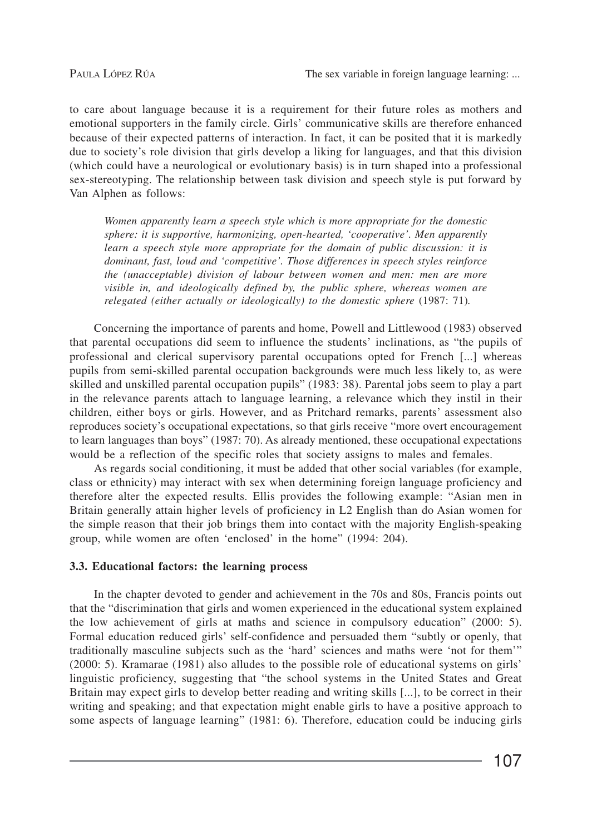to care about language because it is a requirement for their future roles as mothers and emotional supporters in the family circle. Girls' communicative skills are therefore enhanced because of their expected patterns of interaction. In fact, it can be posited that it is markedly due to society's role division that girls develop a liking for languages, and that this division (which could have a neurological or evolutionary basis) is in turn shaped into a professional sex-stereotyping. The relationship between task division and speech style is put forward by Van Alphen as follows:

*Women apparently learn a speech style which is more appropriate for the domestic sphere: it is supportive, harmonizing, open-hearted, 'cooperative'. Men apparently learn a speech style more appropriate for the domain of public discussion: it is dominant, fast, loud and 'competitive'. Those differences in speech styles reinforce the (unacceptable) division of labour between women and men: men are more visible in, and ideologically defined by, the public sphere, whereas women are relegated (either actually or ideologically) to the domestic sphere* (1987: 71)*.*

Concerning the importance of parents and home, Powell and Littlewood (1983) observed that parental occupations did seem to influence the students' inclinations, as "the pupils of professional and clerical supervisory parental occupations opted for French [...] whereas pupils from semi-skilled parental occupation backgrounds were much less likely to, as were skilled and unskilled parental occupation pupils" (1983: 38). Parental jobs seem to play a part in the relevance parents attach to language learning, a relevance which they instil in their children, either boys or girls. However, and as Pritchard remarks, parents' assessment also reproduces society's occupational expectations, so that girls receive "more overt encouragement to learn languages than boys" (1987: 70). As already mentioned, these occupational expectations would be a reflection of the specific roles that society assigns to males and females.

As regards social conditioning, it must be added that other social variables (for example, class or ethnicity) may interact with sex when determining foreign language proficiency and therefore alter the expected results. Ellis provides the following example: "Asian men in Britain generally attain higher levels of proficiency in L2 English than do Asian women for the simple reason that their job brings them into contact with the majority English-speaking group, while women are often 'enclosed' in the home" (1994: 204).

#### **3.3. Educational factors: the learning process**

In the chapter devoted to gender and achievement in the 70s and 80s, Francis points out that the "discrimination that girls and women experienced in the educational system explained the low achievement of girls at maths and science in compulsory education" (2000: 5). Formal education reduced girls' self-confidence and persuaded them "subtly or openly, that traditionally masculine subjects such as the 'hard' sciences and maths were 'not for them'" (2000: 5). Kramarae (1981) also alludes to the possible role of educational systems on girls' linguistic proficiency, suggesting that "the school systems in the United States and Great Britain may expect girls to develop better reading and writing skills [...], to be correct in their writing and speaking; and that expectation might enable girls to have a positive approach to some aspects of language learning" (1981: 6). Therefore, education could be inducing girls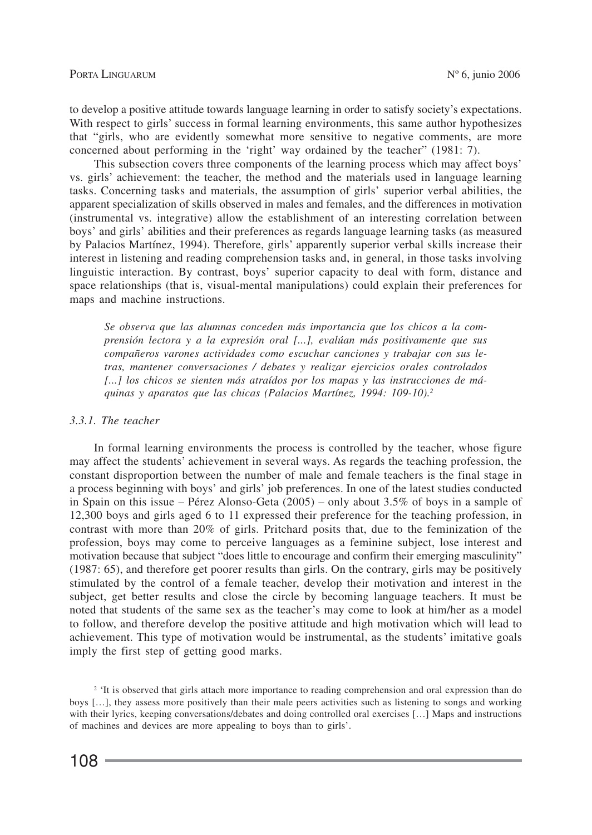to develop a positive attitude towards language learning in order to satisfy society's expectations. With respect to girls' success in formal learning environments, this same author hypothesizes that "girls, who are evidently somewhat more sensitive to negative comments, are more concerned about performing in the 'right' way ordained by the teacher" (1981: 7).

This subsection covers three components of the learning process which may affect boys' vs. girls' achievement: the teacher, the method and the materials used in language learning tasks. Concerning tasks and materials, the assumption of girls' superior verbal abilities, the apparent specialization of skills observed in males and females, and the differences in motivation (instrumental vs. integrative) allow the establishment of an interesting correlation between boys' and girls' abilities and their preferences as regards language learning tasks (as measured by Palacios Martínez, 1994). Therefore, girls' apparently superior verbal skills increase their interest in listening and reading comprehension tasks and, in general, in those tasks involving linguistic interaction. By contrast, boys' superior capacity to deal with form, distance and space relationships (that is, visual-mental manipulations) could explain their preferences for maps and machine instructions.

*Se observa que las alumnas conceden más importancia que los chicos a la comprensión lectora y a la expresión oral [...], evalúan más positivamente que sus compañeros varones actividades como escuchar canciones y trabajar con sus letras, mantener conversaciones / debates y realizar ejercicios orales controlados [...] los chicos se sienten más atraídos por los mapas y las instrucciones de máquinas y aparatos que las chicas (Palacios Martínez, 1994: 109-10).2*

#### *3.3.1. The teacher*

In formal learning environments the process is controlled by the teacher, whose figure may affect the students' achievement in several ways. As regards the teaching profession, the constant disproportion between the number of male and female teachers is the final stage in a process beginning with boys' and girls' job preferences. In one of the latest studies conducted in Spain on this issue – Pérez Alonso-Geta (2005) – only about 3.5% of boys in a sample of 12,300 boys and girls aged 6 to 11 expressed their preference for the teaching profession, in contrast with more than 20% of girls. Pritchard posits that, due to the feminization of the profession, boys may come to perceive languages as a feminine subject, lose interest and motivation because that subject "does little to encourage and confirm their emerging masculinity" (1987: 65), and therefore get poorer results than girls. On the contrary, girls may be positively stimulated by the control of a female teacher, develop their motivation and interest in the subject, get better results and close the circle by becoming language teachers. It must be noted that students of the same sex as the teacher's may come to look at him/her as a model to follow, and therefore develop the positive attitude and high motivation which will lead to achievement. This type of motivation would be instrumental, as the students' imitative goals imply the first step of getting good marks.

<sup>2</sup> 'It is observed that girls attach more importance to reading comprehension and oral expression than do boys […], they assess more positively than their male peers activities such as listening to songs and working with their lyrics, keeping conversations/debates and doing controlled oral exercises [...] Maps and instructions of machines and devices are more appealing to boys than to girls'.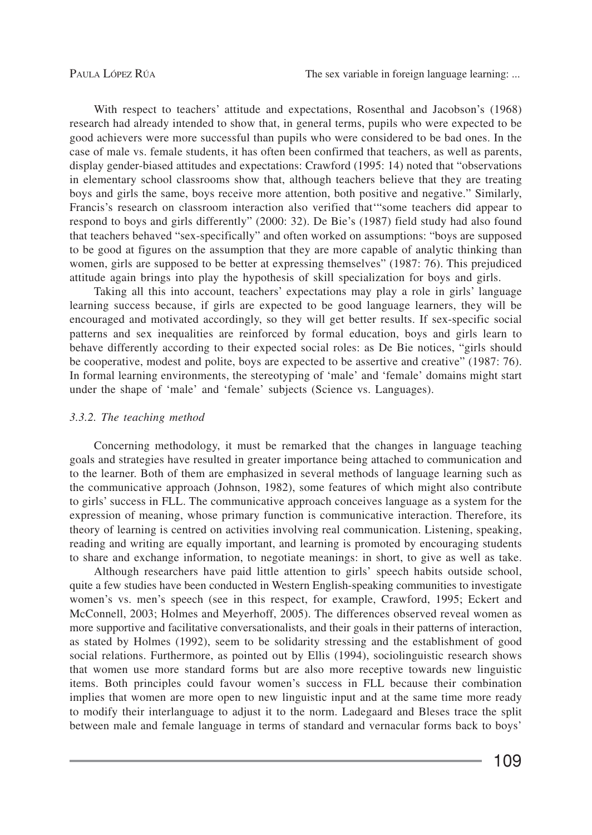With respect to teachers' attitude and expectations, Rosenthal and Jacobson's (1968) research had already intended to show that, in general terms, pupils who were expected to be good achievers were more successful than pupils who were considered to be bad ones. In the case of male vs. female students, it has often been confirmed that teachers, as well as parents, display gender-biased attitudes and expectations: Crawford (1995: 14) noted that "observations in elementary school classrooms show that, although teachers believe that they are treating boys and girls the same, boys receive more attention, both positive and negative." Similarly, Francis's research on classroom interaction also verified that'"some teachers did appear to respond to boys and girls differently" (2000: 32). De Bie's (1987) field study had also found that teachers behaved "sex-specifically" and often worked on assumptions: "boys are supposed to be good at figures on the assumption that they are more capable of analytic thinking than women, girls are supposed to be better at expressing themselves" (1987: 76). This prejudiced attitude again brings into play the hypothesis of skill specialization for boys and girls.

Taking all this into account, teachers' expectations may play a role in girls' language learning success because, if girls are expected to be good language learners, they will be encouraged and motivated accordingly, so they will get better results. If sex-specific social patterns and sex inequalities are reinforced by formal education, boys and girls learn to behave differently according to their expected social roles: as De Bie notices, "girls should be cooperative, modest and polite, boys are expected to be assertive and creative" (1987: 76). In formal learning environments, the stereotyping of 'male' and 'female' domains might start under the shape of 'male' and 'female' subjects (Science vs. Languages).

#### *3.3.2. The teaching method*

Concerning methodology, it must be remarked that the changes in language teaching goals and strategies have resulted in greater importance being attached to communication and to the learner. Both of them are emphasized in several methods of language learning such as the communicative approach (Johnson, 1982), some features of which might also contribute to girls' success in FLL. The communicative approach conceives language as a system for the expression of meaning, whose primary function is communicative interaction. Therefore, its theory of learning is centred on activities involving real communication. Listening, speaking, reading and writing are equally important, and learning is promoted by encouraging students to share and exchange information, to negotiate meanings: in short, to give as well as take.

Although researchers have paid little attention to girls' speech habits outside school, quite a few studies have been conducted in Western English-speaking communities to investigate women's vs. men's speech (see in this respect, for example, Crawford, 1995; Eckert and McConnell, 2003; Holmes and Meyerhoff, 2005). The differences observed reveal women as more supportive and facilitative conversationalists, and their goals in their patterns of interaction, as stated by Holmes (1992), seem to be solidarity stressing and the establishment of good social relations. Furthermore, as pointed out by Ellis (1994), sociolinguistic research shows that women use more standard forms but are also more receptive towards new linguistic items. Both principles could favour women's success in FLL because their combination implies that women are more open to new linguistic input and at the same time more ready to modify their interlanguage to adjust it to the norm. Ladegaard and Bleses trace the split between male and female language in terms of standard and vernacular forms back to boys'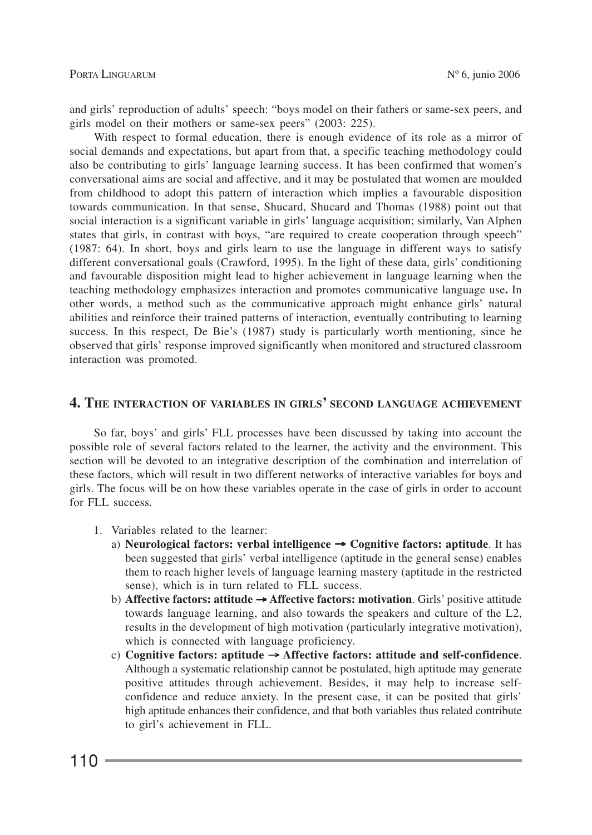and girls' reproduction of adults' speech: "boys model on their fathers or same-sex peers, and girls model on their mothers or same-sex peers" (2003: 225).

With respect to formal education, there is enough evidence of its role as a mirror of social demands and expectations, but apart from that, a specific teaching methodology could also be contributing to girls' language learning success. It has been confirmed that women's conversational aims are social and affective, and it may be postulated that women are moulded from childhood to adopt this pattern of interaction which implies a favourable disposition towards communication. In that sense, Shucard, Shucard and Thomas (1988) point out that social interaction is a significant variable in girls' language acquisition; similarly, Van Alphen states that girls, in contrast with boys, "are required to create cooperation through speech" (1987: 64). In short, boys and girls learn to use the language in different ways to satisfy different conversational goals (Crawford, 1995). In the light of these data, girls' conditioning and favourable disposition might lead to higher achievement in language learning when the teaching methodology emphasizes interaction and promotes communicative language use**.** In other words, a method such as the communicative approach might enhance girls' natural abilities and reinforce their trained patterns of interaction, eventually contributing to learning success. In this respect, De Bie's (1987) study is particularly worth mentioning, since he observed that girls' response improved significantly when monitored and structured classroom interaction was promoted.

## **4. THE INTERACTION OF VARIABLES IN GIRLS' SECOND LANGUAGE ACHIEVEMENT**

So far, boys' and girls' FLL processes have been discussed by taking into account the possible role of several factors related to the learner, the activity and the environment. This section will be devoted to an integrative description of the combination and interrelation of these factors, which will result in two different networks of interactive variables for boys and girls. The focus will be on how these variables operate in the case of girls in order to account for FLL success.

- 1. Variables related to the learner:
	- a) **Neurological factors: verbal intelligence** → **Cognitive factors: aptitude**. It has been suggested that girls' verbal intelligence (aptitude in the general sense) enables them to reach higher levels of language learning mastery (aptitude in the restricted sense), which is in turn related to FLL success.
	- b) **Affective factors: attitude** → **Affective factors: motivation**. Girls' positive attitude towards language learning, and also towards the speakers and culture of the L2, results in the development of high motivation (particularly integrative motivation), which is connected with language proficiency.
	- c) **Cognitive factors: aptitude** → **Affective factors: attitude and self-confidence**. Although a systematic relationship cannot be postulated, high aptitude may generate positive attitudes through achievement. Besides, it may help to increase selfconfidence and reduce anxiety. In the present case, it can be posited that girls' high aptitude enhances their confidence, and that both variables thus related contribute to girl's achievement in FLL.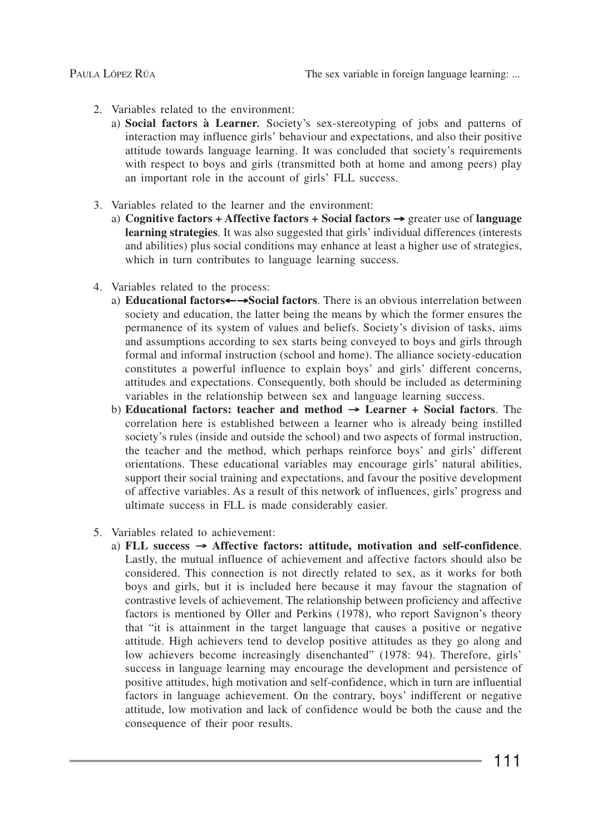- 2. Variables related to the environment:
	- a) **Social factors à Learner***.* Society's sex-stereotyping of jobs and patterns of interaction may influence girls' behaviour and expectations, and also their positive attitude towards language learning. It was concluded that society's requirements with respect to boys and girls (transmitted both at home and among peers) play an important role in the account of girls' FLL success.
- 3. Variables related to the learner and the environment:
	- a) **Cognitive factors + Affective factors + Social factors** → greater use of **language learning strategies**. It was also suggested that girls' individual differences (interests and abilities) plus social conditions may enhance at least a higher use of strategies, which in turn contributes to language learning success.
- 4. Variables related to the process:
	- a) **Educational factors**←→**Social factors**. There is an obvious interrelation between society and education, the latter being the means by which the former ensures the permanence of its system of values and beliefs. Society's division of tasks, aims and assumptions according to sex starts being conveyed to boys and girls through formal and informal instruction (school and home). The alliance society-education constitutes a powerful influence to explain boys' and girls' different concerns, attitudes and expectations. Consequently, both should be included as determining variables in the relationship between sex and language learning success.
	- b) **Educational factors: teacher and method** → **Learner + Social factors**. The correlation here is established between a learner who is already being instilled society's rules (inside and outside the school) and two aspects of formal instruction, the teacher and the method, which perhaps reinforce boys' and girls' different orientations. These educational variables may encourage girls' natural abilities, support their social training and expectations, and favour the positive development of affective variables. As a result of this network of influences, girls' progress and ultimate success in FLL is made considerably easier.
- 5. Variables related to achievement:
	- a) **FLL success** → **Affective factors: attitude, motivation and self-confidence**. Lastly, the mutual influence of achievement and affective factors should also be considered. This connection is not directly related to sex, as it works for both boys and girls, but it is included here because it may favour the stagnation of contrastive levels of achievement. The relationship between proficiency and affective factors is mentioned by Oller and Perkins (1978), who report Savignon's theory that "it is attainment in the target language that causes a positive or negative attitude. High achievers tend to develop positive attitudes as they go along and low achievers become increasingly disenchanted" (1978: 94). Therefore, girls' success in language learning may encourage the development and persistence of positive attitudes, high motivation and self-confidence, which in turn are influential factors in language achievement. On the contrary, boys' indifferent or negative attitude, low motivation and lack of confidence would be both the cause and the consequence of their poor results.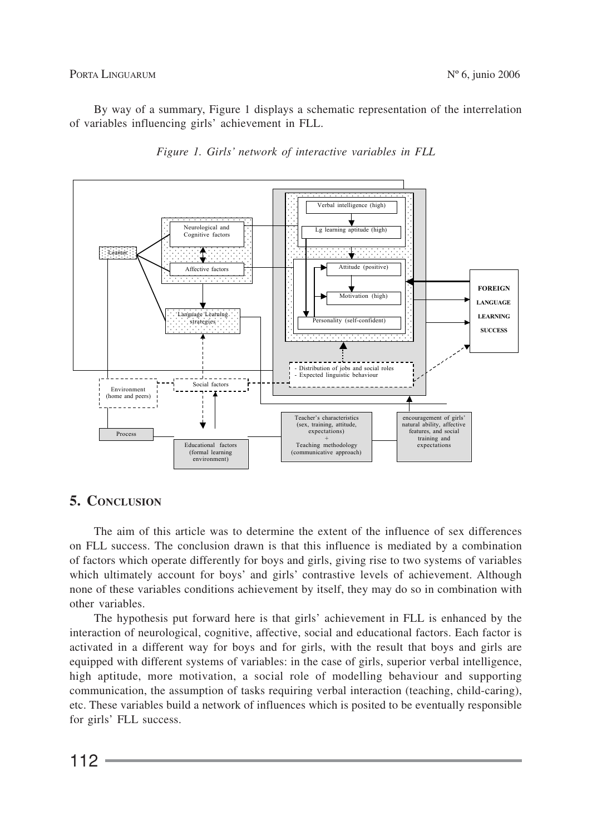PORTA LINGUARUM Nº 6, junio 2006

By way of a summary, Figure 1 displays a schematic representation of the interrelation of variables influencing girls' achievement in FLL.





# **5. CONCLUSION**

The aim of this article was to determine the extent of the influence of sex differences on FLL success. The conclusion drawn is that this influence is mediated by a combination of factors which operate differently for boys and girls, giving rise to two systems of variables which ultimately account for boys' and girls' contrastive levels of achievement. Although none of these variables conditions achievement by itself, they may do so in combination with other variables.

The hypothesis put forward here is that girls' achievement in FLL is enhanced by the interaction of neurological, cognitive, affective, social and educational factors. Each factor is activated in a different way for boys and for girls, with the result that boys and girls are equipped with different systems of variables: in the case of girls, superior verbal intelligence, high aptitude, more motivation, a social role of modelling behaviour and supporting communication, the assumption of tasks requiring verbal interaction (teaching, child-caring), etc. These variables build a network of influences which is posited to be eventually responsible for girls' FLL success.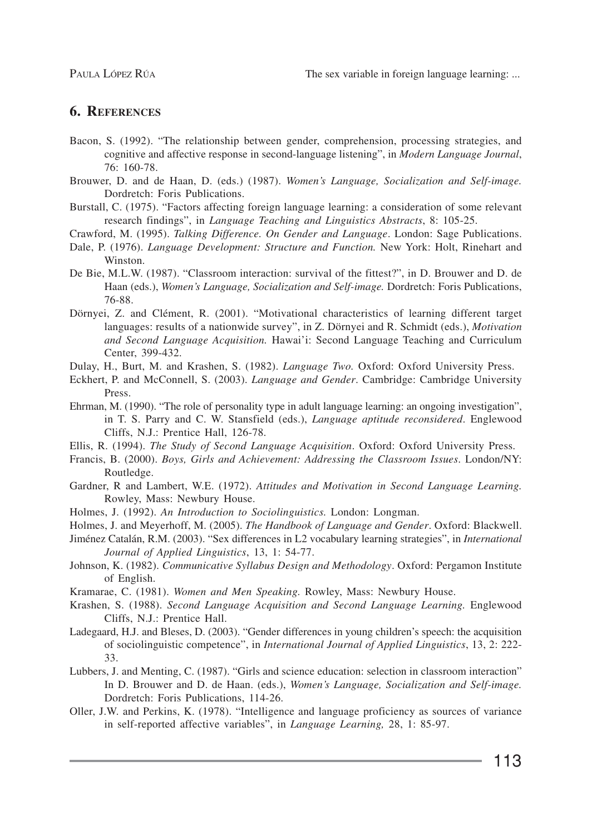# **6. REFERENCES**

- Bacon, S. (1992). "The relationship between gender, comprehension, processing strategies, and cognitive and affective response in second-language listening", in *Modern Language Journal*, 76: 160-78.
- Brouwer, D. and de Haan, D. (eds.) (1987). *Women's Language, Socialization and Self-image.* Dordretch: Foris Publications.
- Burstall, C. (1975). "Factors affecting foreign language learning: a consideration of some relevant research findings", in *Language Teaching and Linguistics Abstracts*, 8: 105-25.
- Crawford, M. (1995). *Talking Difference. On Gender and Language*. London: Sage Publications.
- Dale, P. (1976). *Language Development: Structure and Function.* New York: Holt, Rinehart and Winston.
- De Bie, M.L.W. (1987). "Classroom interaction: survival of the fittest?", in D. Brouwer and D. de Haan (eds.), *Women's Language, Socialization and Self-image.* Dordretch: Foris Publications, 76-88.
- Dörnyei, Z. and Clément, R. (2001). "Motivational characteristics of learning different target languages: results of a nationwide survey", in Z. Dörnyei and R. Schmidt (eds.), *Motivation and Second Language Acquisition.* Hawai'i: Second Language Teaching and Curriculum Center, 399-432.
- Dulay, H., Burt, M. and Krashen, S. (1982). *Language Two.* Oxford: Oxford University Press.
- Eckhert, P. and McConnell, S. (2003). *Language and Gender*. Cambridge: Cambridge University Press.
- Ehrman, M. (1990). "The role of personality type in adult language learning: an ongoing investigation", in T. S. Parry and C. W. Stansfield (eds.), *Language aptitude reconsidered*. Englewood Cliffs, N.J.: Prentice Hall, 126-78.
- Ellis, R. (1994). *The Study of Second Language Acquisition*. Oxford: Oxford University Press.
- Francis, B. (2000). *Boys, Girls and Achievement: Addressing the Classroom Issues*. London/NY: Routledge.
- Gardner, R and Lambert, W.E. (1972). *Attitudes and Motivation in Second Language Learning.* Rowley, Mass: Newbury House.
- Holmes, J. (1992). *An Introduction to Sociolinguistics.* London: Longman.
- Holmes, J. and Meyerhoff, M. (2005). *The Handbook of Language and Gender*. Oxford: Blackwell.

Jiménez Catalán, R.M. (2003). "Sex differences in L2 vocabulary learning strategies", in *International Journal of Applied Linguistics*, 13, 1: 54-77.

- Johnson, K. (1982). *Communicative Syllabus Design and Methodology*. Oxford: Pergamon Institute of English.
- Kramarae, C. (1981). *Women and Men Speaking.* Rowley, Mass: Newbury House.
- Krashen, S. (1988). *Second Language Acquisition and Second Language Learning.* Englewood Cliffs, N.J.: Prentice Hall.
- Ladegaard, H.J. and Bleses, D. (2003). "Gender differences in young children's speech: the acquisition of sociolinguistic competence", in *International Journal of Applied Linguistics*, 13, 2: 222- 33.
- Lubbers, J. and Menting, C. (1987). "Girls and science education: selection in classroom interaction" In D. Brouwer and D. de Haan. (eds.), *Women's Language, Socialization and Self-image.* Dordretch: Foris Publications, 114-26.
- Oller, J.W. and Perkins, K. (1978). "Intelligence and language proficiency as sources of variance in self-reported affective variables", in *Language Learning,* 28, 1: 85-97.